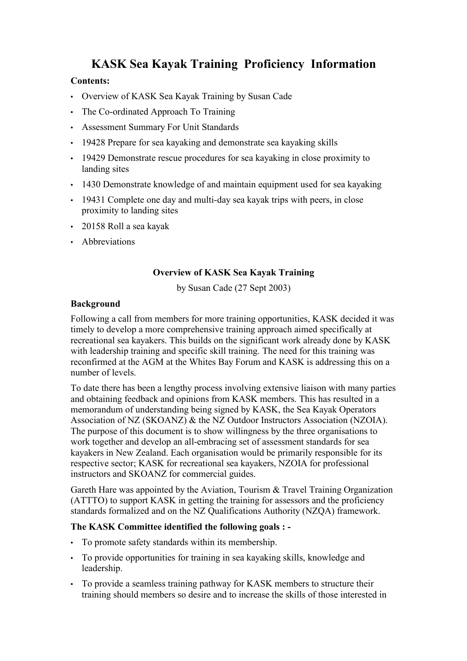# **KASK Sea Kayak Training Proficiency Information**

### **Contents:**

- Overview of KASK Sea Kayak Training by Susan Cade
- The Co-ordinated Approach To Training
- Assessment Summary For Unit Standards
- 19428 Prepare for sea kayaking and demonstrate sea kayaking skills
- 19429 Demonstrate rescue procedures for sea kayaking in close proximity to landing sites
- 1430 Demonstrate knowledge of and maintain equipment used for sea kayaking
- 19431 Complete one day and multi-day sea kayak trips with peers, in close proximity to landing sites
- 20158 Roll a sea kayak
- Abbreviations

### **Overview of KASK Sea Kayak Training**

by Susan Cade (27 Sept 2003)

### **Background**

Following a call from members for more training opportunities, KASK decided it was timely to develop a more comprehensive training approach aimed specifically at recreational sea kayakers. This builds on the significant work already done by KASK with leadership training and specific skill training. The need for this training was reconfirmed at the AGM at the Whites Bay Forum and KASK is addressing this on a number of levels.

To date there has been a lengthy process involving extensive liaison with many parties and obtaining feedback and opinions from KASK members. This has resulted in a memorandum of understanding being signed by KASK, the Sea Kayak Operators Association of NZ (SKOANZ) & the NZ Outdoor Instructors Association (NZOIA). The purpose of this document is to show willingness by the three organisations to work together and develop an all-embracing set of assessment standards for sea kayakers in New Zealand. Each organisation would be primarily responsible for its respective sector; KASK for recreational sea kayakers, NZOIA for professional instructors and SKOANZ for commercial guides.

Gareth Hare was appointed by the Aviation, Tourism & Travel Training Organization (ATTTO) to support KASK in getting the training for assessors and the proficiency standards formalized and on the NZ Qualifications Authority (NZQA) framework.

### **The KASK Committee identified the following goals : -**

- To promote safety standards within its membership.
- To provide opportunities for training in sea kayaking skills, knowledge and leadership.
- To provide a seamless training pathway for KASK members to structure their training should members so desire and to increase the skills of those interested in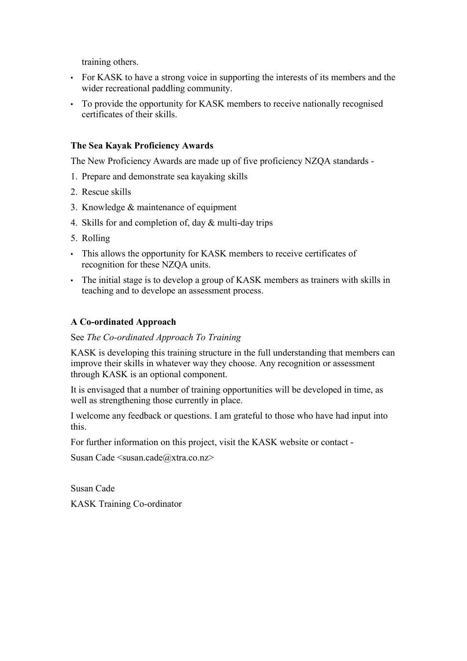training others.

- For KASK to have a strong voice in supporting the interests of its members and the wider recreational paddling community.
- To provide the opportunity for KASK members to receive nationally recognised certificates of their skills.

### **The Sea Kayak Proficiency Awards**

The New Proficiency Awards are made up of five proficiency NZQA standards -

- 1. Prepare and demonstrate sea kayaking skills
- 2. Rescue skills
- 3. Knowledge & maintenance of equipment
- 4. Skills for and completion of, day  $\&$  multi-day trips
- 5. Rolling
- This allows the opportunity for KASK members to receive certificates of recognition for these NZQA units.
- The initial stage is to develop a group of KASK members as trainers with skills in teaching and to develope an assessment process.

### **A Co-ordinated Approach**

### See *The Co-ordinated Approach To Training*

KASK is developing this training structure in the full understanding that members can improve their skills in whatever way they choose. Any recognition or assessment through KASK is an optional component.

It is envisaged that a number of training opportunities will be developed in time, as well as strengthening those currently in place.

I welcome any feedback or questions. I am grateful to those who have had input into this.

For further information on this project, visit the KASK website or contact -

Susan Cade  $\langle$ susan.cade $\langle$ @xtra.co.nz>

Susan Cade KASK Training Co-ordinator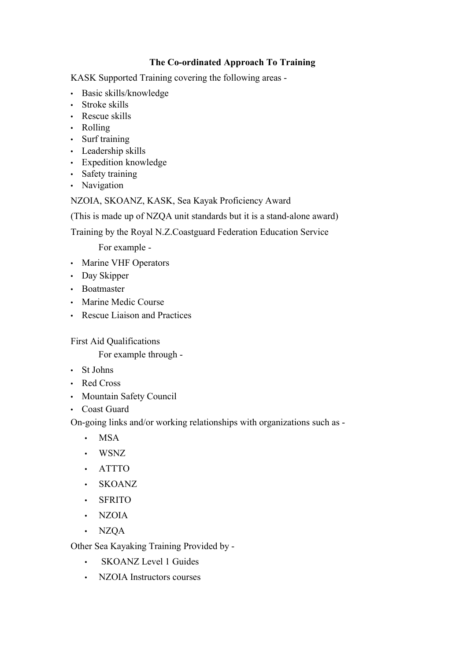# **The Co-ordinated Approach To Training**

KASK Supported Training covering the following areas -

- Basic skills/knowledge
- Stroke skills
- Rescue skills
- Rolling
- Surf training
- Leadership skills
- Expedition knowledge
- Safety training
- Navigation

# NZOIA, SKOANZ, KASK, Sea Kayak Proficiency Award

(This is made up of NZQA unit standards but it is a stand-alone award)

Training by the Royal N.Z.Coastguard Federation Education Service

For example -

- Marine VHF Operators
- Day Skipper
- Boatmaster
- Marine Medic Course
- Rescue Liaison and Practices

First Aid Qualifications

For example through -

- St Johns
- Red Cross
- Mountain Safety Council
- Coast Guard

On-going links and/or working relationships with organizations such as -

- MSA
- WSNZ
- ATTTO
- SKOANZ
- SFRITO
- NZOIA
- NZQA

Other Sea Kayaking Training Provided by -

- SKOANZ Level 1 Guides
- NZOIA Instructors courses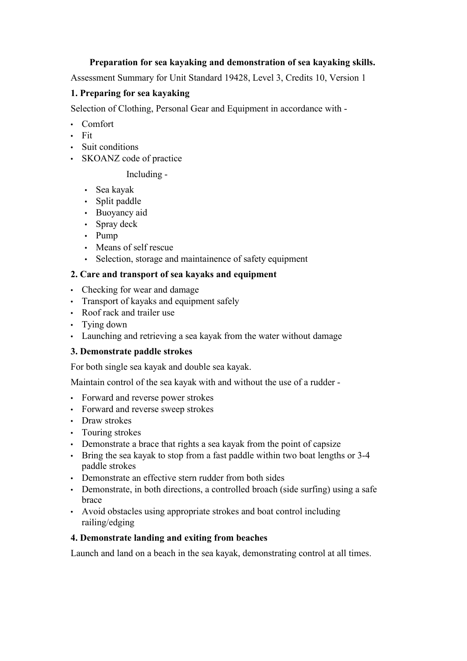## **Preparation for sea kayaking and demonstration of sea kayaking skills.**

Assessment Summary for Unit Standard 19428, Level 3, Credits 10, Version 1

# **1. Preparing for sea kayaking**

Selection of Clothing, Personal Gear and Equipment in accordance with -

- Comfort
- Fit
- Suit conditions
- SKOANZ code of practice

# Including -

- Sea kayak
- Split paddle
- Buoyancy aid
- Spray deck
- Pump
- Means of self rescue
- Selection, storage and maintainence of safety equipment

# **2. Care and transport of sea kayaks and equipment**

- Checking for wear and damage
- Transport of kayaks and equipment safely
- Roof rack and trailer use
- Tying down
- Launching and retrieving a sea kayak from the water without damage

# **3. Demonstrate paddle strokes**

For both single sea kayak and double sea kayak.

Maintain control of the sea kayak with and without the use of a rudder -

- Forward and reverse power strokes
- Forward and reverse sweep strokes
- Draw strokes
- Touring strokes
- Demonstrate a brace that rights a sea kayak from the point of capsize
- Bring the sea kayak to stop from a fast paddle within two boat lengths or 3-4 paddle strokes
- Demonstrate an effective stern rudder from both sides
- Demonstrate, in both directions, a controlled broach (side surfing) using a safe brace
- Avoid obstacles using appropriate strokes and boat control including railing/edging

# **4. Demonstrate landing and exiting from beaches**

Launch and land on a beach in the sea kayak, demonstrating control at all times.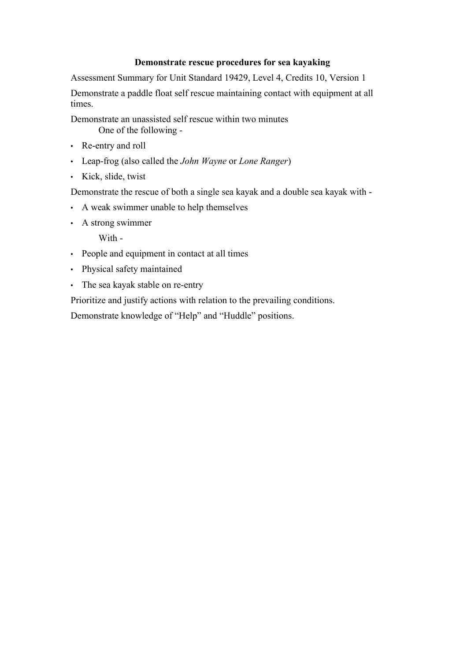### **Demonstrate rescue procedures for sea kayaking**

Assessment Summary for Unit Standard 19429, Level 4, Credits 10, Version 1

Demonstrate a paddle float self rescue maintaining contact with equipment at all times.

Demonstrate an unassisted self rescue within two minutes One of the following -

- Re-entry and roll
- Leap-frog (also called the *John Wayne* or *Lone Ranger*)
- Kick, slide, twist

Demonstrate the rescue of both a single sea kayak and a double sea kayak with -

- A weak swimmer unable to help themselves
- A strong swimmer

With -

- People and equipment in contact at all times
- Physical safety maintained
- The sea kayak stable on re-entry

Prioritize and justify actions with relation to the prevailing conditions.

Demonstrate knowledge of "Help" and "Huddle" positions.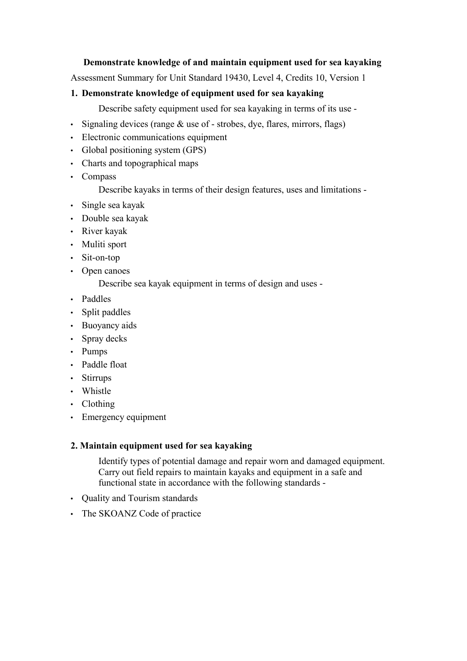### **Demonstrate knowledge of and maintain equipment used for sea kayaking**

Assessment Summary for Unit Standard 19430, Level 4, Credits 10, Version 1

### **1. Demonstrate knowledge of equipment used for sea kayaking**

Describe safety equipment used for sea kayaking in terms of its use -

- Signaling devices (range  $\&$  use of strobes, dye, flares, mirrors, flags)
- Electronic communications equipment
- Global positioning system (GPS)
- Charts and topographical maps
- Compass

Describe kayaks in terms of their design features, uses and limitations -

- Single sea kayak
- Double sea kayak
- River kayak
- Muliti sport
- Sit-on-top
- Open canoes

Describe sea kayak equipment in terms of design and uses -

- Paddles
- Split paddles
- Buoyancy aids
- Spray decks
- Pumps
- Paddle float
- Stirrups
- Whistle
- Clothing
- Emergency equipment

### **2. Maintain equipment used for sea kayaking**

Identify types of potential damage and repair worn and damaged equipment. Carry out field repairs to maintain kayaks and equipment in a safe and functional state in accordance with the following standards -

- Quality and Tourism standards
- The SKOANZ Code of practice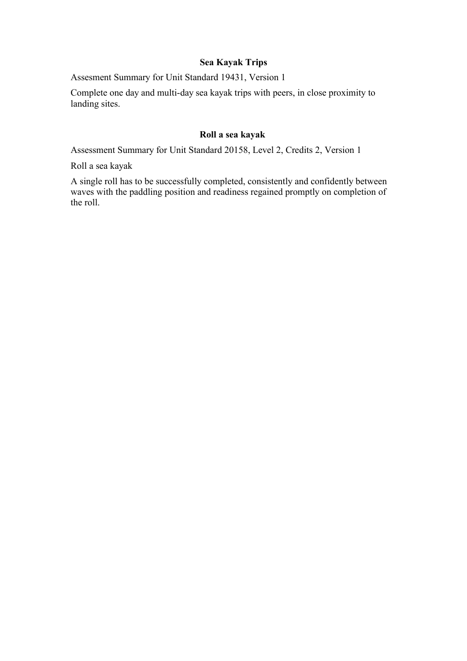### **Sea Kayak Trips**

Assesment Summary for Unit Standard 19431, Version 1

Complete one day and multi-day sea kayak trips with peers, in close proximity to landing sites.

# **Roll a sea kayak**

Assessment Summary for Unit Standard 20158, Level 2, Credits 2, Version 1

Roll a sea kayak

A single roll has to be successfully completed, consistently and confidently between waves with the paddling position and readiness regained promptly on completion of the roll.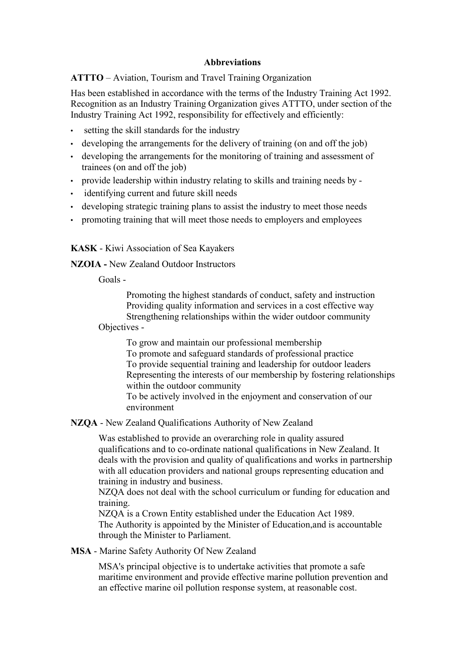### **Abbreviations**

**ATTTO** – Aviation, Tourism and Travel Training Organization

Has been established in accordance with the terms of the Industry Training Act 1992. Recognition as an Industry Training Organization gives ATTTO, under section of the Industry Training Act 1992, responsibility for effectively and efficiently:

- setting the skill standards for the industry
- developing the arrangements for the delivery of training (on and off the job)
- developing the arrangements for the monitoring of training and assessment of trainees (on and off the job)
- provide leadership within industry relating to skills and training needs by -
- identifying current and future skill needs
- developing strategic training plans to assist the industry to meet those needs
- promoting training that will meet those needs to employers and employees

**KASK** - Kiwi Association of Sea Kayakers

**NZOIA -** New Zealand Outdoor Instructors

Goals -

Promoting the highest standards of conduct, safety and instruction Providing quality information and services in a cost effective way Strengthening relationships within the wider outdoor community

Objectives -

To grow and maintain our professional membership To promote and safeguard standards of professional practice To provide sequential training and leadership for outdoor leaders Representing the interests of our membership by fostering relationships within the outdoor community To be actively involved in the enjoyment and conservation of our

environment

**NZQA** - New Zealand Qualifications Authority of New Zealand

Was established to provide an overarching role in quality assured qualifications and to co-ordinate national qualifications in New Zealand. It deals with the provision and quality of qualifications and works in partnership with all education providers and national groups representing education and training in industry and business.

NZQA does not deal with the school curriculum or funding for education and training.

NZQA is a Crown Entity established under the Education Act 1989. The Authority is appointed by the Minister of Education,and is accountable through the Minister to Parliament.

**MSA** - Marine Safety Authority Of New Zealand

MSA's principal objective is to undertake activities that promote a safe maritime environment and provide effective marine pollution prevention and an effective marine oil pollution response system, at reasonable cost.